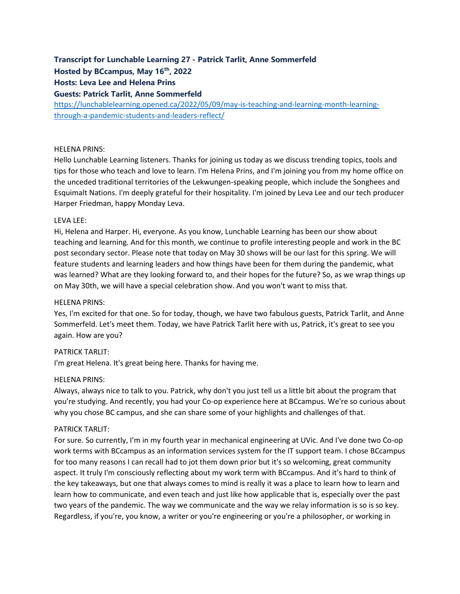# **Transcript for Lunchable Learning 27 - Patrick Tarlit, Anne Sommerfeld**

**Hosted by BCcampus, May 16th, 2022**

**Hosts: Leva Lee and Helena Prins**

# **Guests: Patrick Tarlit, Anne Sommerfeld**

[https://lunchablelearning.opened.ca/2022/05/09/may-is-teaching-and-learning-month-learning](https://lunchablelearning.opened.ca/2022/05/09/may-is-teaching-and-learning-month-learning-through-a-pandemic-students-and-leaders-reflect/)[through-a-pandemic-students-and-leaders-reflect/](https://lunchablelearning.opened.ca/2022/05/09/may-is-teaching-and-learning-month-learning-through-a-pandemic-students-and-leaders-reflect/)

# HELENA PRINS:

Hello Lunchable Learning listeners. Thanks for joining us today as we discuss trending topics, tools and tips for those who teach and love to learn. I'm Helena Prins, and I'm joining you from my home office on the unceded traditional territories of the Lekwungen-speaking people, which include the Songhees and Esquimalt Nations. I'm deeply grateful for their hospitality. I'm joined by Leva Lee and our tech producer Harper Friedman, happy Monday Leva.

# LEVA LEE:

Hi, Helena and Harper. Hi, everyone. As you know, Lunchable Learning has been our show about teaching and learning. And for this month, we continue to profile interesting people and work in the BC post secondary sector. Please note that today on May 30 shows will be our last for this spring. We will feature students and learning leaders and how things have been for them during the pandemic, what was learned? What are they looking forward to, and their hopes for the future? So, as we wrap things up on May 30th, we will have a special celebration show. And you won't want to miss that.

# HELENA PRINS:

Yes, I'm excited for that one. So for today, though, we have two fabulous guests, Patrick Tarlit, and Anne Sommerfeld. Let's meet them. Today, we have Patrick Tarlit here with us, Patrick, it's great to see you again. How are you?

# PATRICK TARLIT:

I'm great Helena. It's great being here. Thanks for having me.

# HELENA PRINS:

Always, always nice to talk to you. Patrick, why don't you just tell us a little bit about the program that you're studying. And recently, you had your Co-op experience here at BCcampus. We're so curious about why you chose BC campus, and she can share some of your highlights and challenges of that.

## PATRICK TARLIT:

For sure. So currently, I'm in my fourth year in mechanical engineering at UVic. And I've done two Co-op work terms with BCcampus as an information services system for the IT support team. I chose BCcampus for too many reasons I can recall had to jot them down prior but it's so welcoming, great community aspect. It truly I'm consciously reflecting about my work term with BCcampus. And it's hard to think of the key takeaways, but one that always comes to mind is really it was a place to learn how to learn and learn how to communicate, and even teach and just like how applicable that is, especially over the past two years of the pandemic. The way we communicate and the way we relay information is so is so key. Regardless, if you're, you know, a writer or you're engineering or you're a philosopher, or working in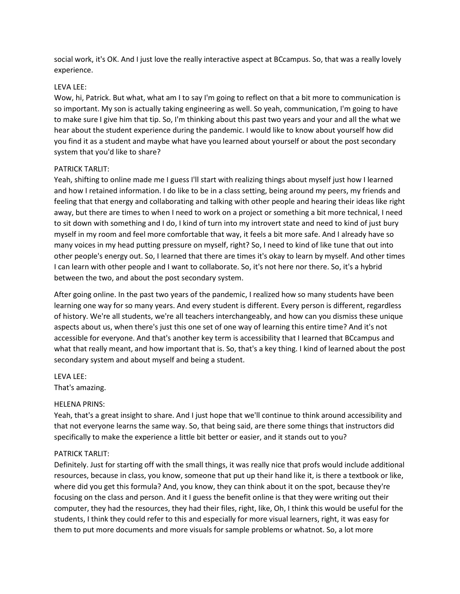social work, it's OK. And I just love the really interactive aspect at BCcampus. So, that was a really lovely experience.

#### LEVA LEE:

Wow, hi, Patrick. But what, what am I to say I'm going to reflect on that a bit more to communication is so important. My son is actually taking engineering as well. So yeah, communication, I'm going to have to make sure I give him that tip. So, I'm thinking about this past two years and your and all the what we hear about the student experience during the pandemic. I would like to know about yourself how did you find it as a student and maybe what have you learned about yourself or about the post secondary system that you'd like to share?

### PATRICK TARLIT:

Yeah, shifting to online made me I guess I'll start with realizing things about myself just how I learned and how I retained information. I do like to be in a class setting, being around my peers, my friends and feeling that that energy and collaborating and talking with other people and hearing their ideas like right away, but there are times to when I need to work on a project or something a bit more technical, I need to sit down with something and I do, I kind of turn into my introvert state and need to kind of just bury myself in my room and feel more comfortable that way, it feels a bit more safe. And I already have so many voices in my head putting pressure on myself, right? So, I need to kind of like tune that out into other people's energy out. So, I learned that there are times it's okay to learn by myself. And other times I can learn with other people and I want to collaborate. So, it's not here nor there. So, it's a hybrid between the two, and about the post secondary system.

After going online. In the past two years of the pandemic, I realized how so many students have been learning one way for so many years. And every student is different. Every person is different, regardless of history. We're all students, we're all teachers interchangeably, and how can you dismiss these unique aspects about us, when there's just this one set of one way of learning this entire time? And it's not accessible for everyone. And that's another key term is accessibility that I learned that BCcampus and what that really meant, and how important that is. So, that's a key thing. I kind of learned about the post secondary system and about myself and being a student.

## LEVA LEE:

That's amazing.

#### HELENA PRINS:

Yeah, that's a great insight to share. And I just hope that we'll continue to think around accessibility and that not everyone learns the same way. So, that being said, are there some things that instructors did specifically to make the experience a little bit better or easier, and it stands out to you?

#### PATRICK TARLIT:

Definitely. Just for starting off with the small things, it was really nice that profs would include additional resources, because in class, you know, someone that put up their hand like it, is there a textbook or like, where did you get this formula? And, you know, they can think about it on the spot, because they're focusing on the class and person. And it I guess the benefit online is that they were writing out their computer, they had the resources, they had their files, right, like, Oh, I think this would be useful for the students, I think they could refer to this and especially for more visual learners, right, it was easy for them to put more documents and more visuals for sample problems or whatnot. So, a lot more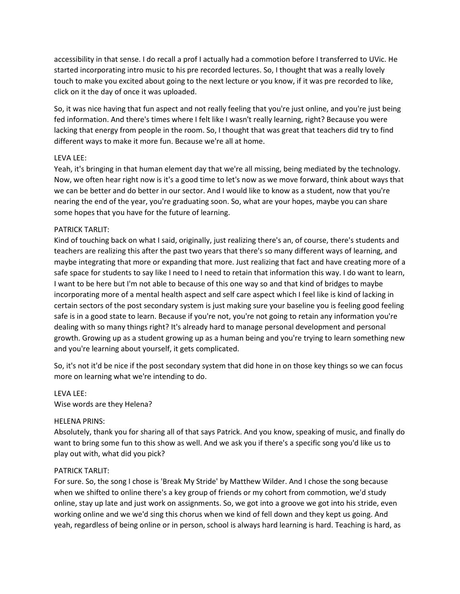accessibility in that sense. I do recall a prof I actually had a commotion before I transferred to UVic. He started incorporating intro music to his pre recorded lectures. So, I thought that was a really lovely touch to make you excited about going to the next lecture or you know, if it was pre recorded to like, click on it the day of once it was uploaded.

So, it was nice having that fun aspect and not really feeling that you're just online, and you're just being fed information. And there's times where I felt like I wasn't really learning, right? Because you were lacking that energy from people in the room. So, I thought that was great that teachers did try to find different ways to make it more fun. Because we're all at home.

# LEVA LEE:

Yeah, it's bringing in that human element day that we're all missing, being mediated by the technology. Now, we often hear right now is it's a good time to let's now as we move forward, think about ways that we can be better and do better in our sector. And I would like to know as a student, now that you're nearing the end of the year, you're graduating soon. So, what are your hopes, maybe you can share some hopes that you have for the future of learning.

## PATRICK TARLIT:

Kind of touching back on what I said, originally, just realizing there's an, of course, there's students and teachers are realizing this after the past two years that there's so many different ways of learning, and maybe integrating that more or expanding that more. Just realizing that fact and have creating more of a safe space for students to say like I need to I need to retain that information this way. I do want to learn, I want to be here but I'm not able to because of this one way so and that kind of bridges to maybe incorporating more of a mental health aspect and self care aspect which I feel like is kind of lacking in certain sectors of the post secondary system is just making sure your baseline you is feeling good feeling safe is in a good state to learn. Because if you're not, you're not going to retain any information you're dealing with so many things right? It's already hard to manage personal development and personal growth. Growing up as a student growing up as a human being and you're trying to learn something new and you're learning about yourself, it gets complicated.

So, it's not it'd be nice if the post secondary system that did hone in on those key things so we can focus more on learning what we're intending to do.

## LEVA LEE:

Wise words are they Helena?

# HELENA PRINS:

Absolutely, thank you for sharing all of that says Patrick. And you know, speaking of music, and finally do want to bring some fun to this show as well. And we ask you if there's a specific song you'd like us to play out with, what did you pick?

## PATRICK TARLIT:

For sure. So, the song I chose is 'Break My Stride' by Matthew Wilder. And I chose the song because when we shifted to online there's a key group of friends or my cohort from commotion, we'd study online, stay up late and just work on assignments. So, we got into a groove we got into his stride, even working online and we we'd sing this chorus when we kind of fell down and they kept us going. And yeah, regardless of being online or in person, school is always hard learning is hard. Teaching is hard, as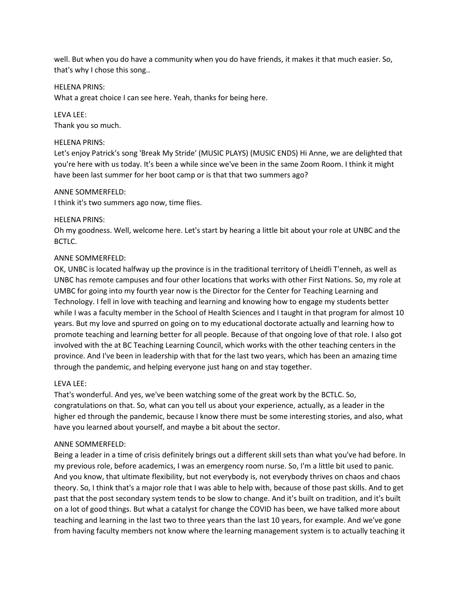well. But when you do have a community when you do have friends, it makes it that much easier. So, that's why I chose this song..

## HELENA PRINS:

What a great choice I can see here. Yeah, thanks for being here.

## LEVA LEE:

Thank you so much.

### HELENA PRINS:

Let's enjoy Patrick's song 'Break My Stride' (MUSIC PLAYS) (MUSIC ENDS) Hi Anne, we are delighted that you're here with us today. It's been a while since we've been in the same Zoom Room. I think it might have been last summer for her boot camp or is that that two summers ago?

#### ANNE SOMMERFELD:

I think it's two summers ago now, time flies.

### HELENA PRINS:

Oh my goodness. Well, welcome here. Let's start by hearing a little bit about your role at UNBC and the BCTLC.

### ANNE SOMMERFELD:

OK, UNBC is located halfway up the province is in the traditional territory of Lheidli T'enneh, as well as UNBC has remote campuses and four other locations that works with other First Nations. So, my role at UMBC for going into my fourth year now is the Director for the Center for Teaching Learning and Technology. I fell in love with teaching and learning and knowing how to engage my students better while I was a faculty member in the School of Health Sciences and I taught in that program for almost 10 years. But my love and spurred on going on to my educational doctorate actually and learning how to promote teaching and learning better for all people. Because of that ongoing love of that role. I also got involved with the at BC Teaching Learning Council, which works with the other teaching centers in the province. And I've been in leadership with that for the last two years, which has been an amazing time through the pandemic, and helping everyone just hang on and stay together.

## LEVA LEE:

That's wonderful. And yes, we've been watching some of the great work by the BCTLC. So, congratulations on that. So, what can you tell us about your experience, actually, as a leader in the higher ed through the pandemic, because I know there must be some interesting stories, and also, what have you learned about yourself, and maybe a bit about the sector.

#### ANNE SOMMERFELD:

Being a leader in a time of crisis definitely brings out a different skill sets than what you've had before. In my previous role, before academics, I was an emergency room nurse. So, I'm a little bit used to panic. And you know, that ultimate flexibility, but not everybody is, not everybody thrives on chaos and chaos theory. So, I think that's a major role that I was able to help with, because of those past skills. And to get past that the post secondary system tends to be slow to change. And it's built on tradition, and it's built on a lot of good things. But what a catalyst for change the COVID has been, we have talked more about teaching and learning in the last two to three years than the last 10 years, for example. And we've gone from having faculty members not know where the learning management system is to actually teaching it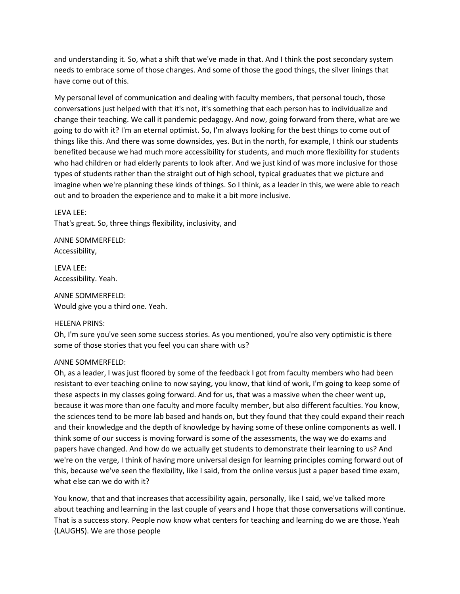and understanding it. So, what a shift that we've made in that. And I think the post secondary system needs to embrace some of those changes. And some of those the good things, the silver linings that have come out of this.

My personal level of communication and dealing with faculty members, that personal touch, those conversations just helped with that it's not, it's something that each person has to individualize and change their teaching. We call it pandemic pedagogy. And now, going forward from there, what are we going to do with it? I'm an eternal optimist. So, I'm always looking for the best things to come out of things like this. And there was some downsides, yes. But in the north, for example, I think our students benefited because we had much more accessibility for students, and much more flexibility for students who had children or had elderly parents to look after. And we just kind of was more inclusive for those types of students rather than the straight out of high school, typical graduates that we picture and imagine when we're planning these kinds of things. So I think, as a leader in this, we were able to reach out and to broaden the experience and to make it a bit more inclusive.

### LEVA LEE:

That's great. So, three things flexibility, inclusivity, and

ANNE SOMMERFELD: Accessibility,

LEVA LEE: Accessibility. Yeah.

ANNE SOMMERFELD: Would give you a third one. Yeah.

## HELENA PRINS:

Oh, I'm sure you've seen some success stories. As you mentioned, you're also very optimistic is there some of those stories that you feel you can share with us?

## ANNE SOMMERFELD:

Oh, as a leader, I was just floored by some of the feedback I got from faculty members who had been resistant to ever teaching online to now saying, you know, that kind of work, I'm going to keep some of these aspects in my classes going forward. And for us, that was a massive when the cheer went up, because it was more than one faculty and more faculty member, but also different faculties. You know, the sciences tend to be more lab based and hands on, but they found that they could expand their reach and their knowledge and the depth of knowledge by having some of these online components as well. I think some of our success is moving forward is some of the assessments, the way we do exams and papers have changed. And how do we actually get students to demonstrate their learning to us? And we're on the verge, I think of having more universal design for learning principles coming forward out of this, because we've seen the flexibility, like I said, from the online versus just a paper based time exam, what else can we do with it?

You know, that and that increases that accessibility again, personally, like I said, we've talked more about teaching and learning in the last couple of years and I hope that those conversations will continue. That is a success story. People now know what centers for teaching and learning do we are those. Yeah (LAUGHS). We are those people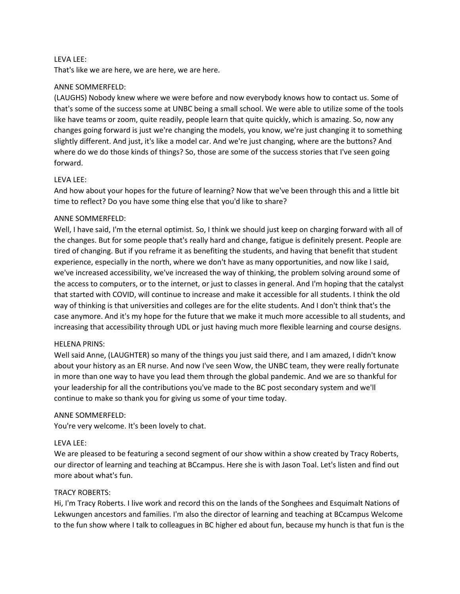### LEVA LEE:

That's like we are here, we are here, we are here.

### ANNE SOMMERFELD:

(LAUGHS) Nobody knew where we were before and now everybody knows how to contact us. Some of that's some of the success some at UNBC being a small school. We were able to utilize some of the tools like have teams or zoom, quite readily, people learn that quite quickly, which is amazing. So, now any changes going forward is just we're changing the models, you know, we're just changing it to something slightly different. And just, it's like a model car. And we're just changing, where are the buttons? And where do we do those kinds of things? So, those are some of the success stories that I've seen going forward.

### LEVA LEE:

And how about your hopes for the future of learning? Now that we've been through this and a little bit time to reflect? Do you have some thing else that you'd like to share?

### ANNE SOMMERFELD:

Well, I have said, I'm the eternal optimist. So, I think we should just keep on charging forward with all of the changes. But for some people that's really hard and change, fatigue is definitely present. People are tired of changing. But if you reframe it as benefiting the students, and having that benefit that student experience, especially in the north, where we don't have as many opportunities, and now like I said, we've increased accessibility, we've increased the way of thinking, the problem solving around some of the access to computers, or to the internet, or just to classes in general. And I'm hoping that the catalyst that started with COVID, will continue to increase and make it accessible for all students. I think the old way of thinking is that universities and colleges are for the elite students. And I don't think that's the case anymore. And it's my hope for the future that we make it much more accessible to all students, and increasing that accessibility through UDL or just having much more flexible learning and course designs.

#### HELENA PRINS:

Well said Anne, (LAUGHTER) so many of the things you just said there, and I am amazed, I didn't know about your history as an ER nurse. And now I've seen Wow, the UNBC team, they were really fortunate in more than one way to have you lead them through the global pandemic. And we are so thankful for your leadership for all the contributions you've made to the BC post secondary system and we'll continue to make so thank you for giving us some of your time today.

#### ANNE SOMMERFELD:

You're very welcome. It's been lovely to chat.

#### LEVA LEE:

We are pleased to be featuring a second segment of our show within a show created by Tracy Roberts, our director of learning and teaching at BCcampus. Here she is with Jason Toal. Let's listen and find out more about what's fun.

## TRACY ROBERTS:

Hi, I'm Tracy Roberts. I live work and record this on the lands of the Songhees and Esquimalt Nations of Lekwungen ancestors and families. I'm also the director of learning and teaching at BCcampus Welcome to the fun show where I talk to colleagues in BC higher ed about fun, because my hunch is that fun is the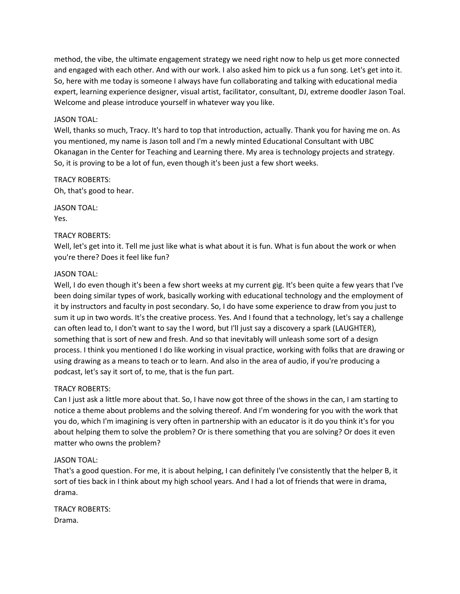method, the vibe, the ultimate engagement strategy we need right now to help us get more connected and engaged with each other. And with our work. I also asked him to pick us a fun song. Let's get into it. So, here with me today is someone I always have fun collaborating and talking with educational media expert, learning experience designer, visual artist, facilitator, consultant, DJ, extreme doodler Jason Toal. Welcome and please introduce yourself in whatever way you like.

## JASON TOAL:

Well, thanks so much, Tracy. It's hard to top that introduction, actually. Thank you for having me on. As you mentioned, my name is Jason toll and I'm a newly minted Educational Consultant with UBC Okanagan in the Center for Teaching and Learning there. My area is technology projects and strategy. So, it is proving to be a lot of fun, even though it's been just a few short weeks.

TRACY ROBERTS: Oh, that's good to hear.

JASON TOAL: Yes.

## TRACY ROBERTS:

Well, let's get into it. Tell me just like what is what about it is fun. What is fun about the work or when you're there? Does it feel like fun?

### JASON TOAL:

Well, I do even though it's been a few short weeks at my current gig. It's been quite a few years that I've been doing similar types of work, basically working with educational technology and the employment of it by instructors and faculty in post secondary. So, I do have some experience to draw from you just to sum it up in two words. It's the creative process. Yes. And I found that a technology, let's say a challenge can often lead to, I don't want to say the I word, but I'll just say a discovery a spark (LAUGHTER), something that is sort of new and fresh. And so that inevitably will unleash some sort of a design process. I think you mentioned I do like working in visual practice, working with folks that are drawing or using drawing as a means to teach or to learn. And also in the area of audio, if you're producing a podcast, let's say it sort of, to me, that is the fun part.

## TRACY ROBERTS:

Can I just ask a little more about that. So, I have now got three of the shows in the can, I am starting to notice a theme about problems and the solving thereof. And I'm wondering for you with the work that you do, which I'm imagining is very often in partnership with an educator is it do you think it's for you about helping them to solve the problem? Or is there something that you are solving? Or does it even matter who owns the problem?

## JASON TOAL:

That's a good question. For me, it is about helping, I can definitely I've consistently that the helper B, it sort of ties back in I think about my high school years. And I had a lot of friends that were in drama, drama.

TRACY ROBERTS: Drama.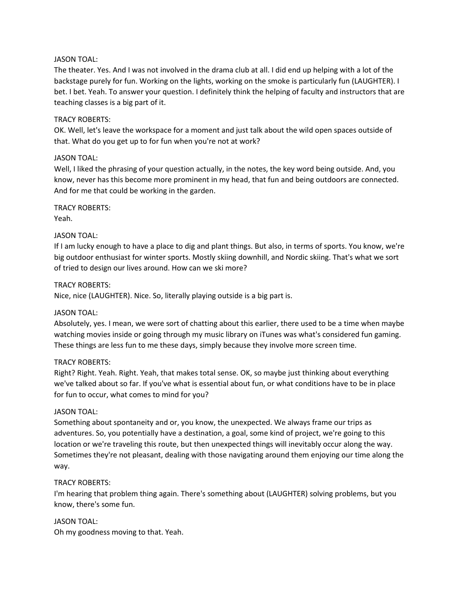## JASON TOAL:

The theater. Yes. And I was not involved in the drama club at all. I did end up helping with a lot of the backstage purely for fun. Working on the lights, working on the smoke is particularly fun (LAUGHTER). I bet. I bet. Yeah. To answer your question. I definitely think the helping of faculty and instructors that are teaching classes is a big part of it.

# TRACY ROBERTS:

OK. Well, let's leave the workspace for a moment and just talk about the wild open spaces outside of that. What do you get up to for fun when you're not at work?

# JASON TOAL:

Well, I liked the phrasing of your question actually, in the notes, the key word being outside. And, you know, never has this become more prominent in my head, that fun and being outdoors are connected. And for me that could be working in the garden.

TRACY ROBERTS: Yeah.

# JASON TOAL:

If I am lucky enough to have a place to dig and plant things. But also, in terms of sports. You know, we're big outdoor enthusiast for winter sports. Mostly skiing downhill, and Nordic skiing. That's what we sort of tried to design our lives around. How can we ski more?

## TRACY ROBERTS:

Nice, nice (LAUGHTER). Nice. So, literally playing outside is a big part is.

## JASON TOAL:

Absolutely, yes. I mean, we were sort of chatting about this earlier, there used to be a time when maybe watching movies inside or going through my music library on iTunes was what's considered fun gaming. These things are less fun to me these days, simply because they involve more screen time.

## TRACY ROBERTS:

Right? Right. Yeah. Right. Yeah, that makes total sense. OK, so maybe just thinking about everything we've talked about so far. If you've what is essential about fun, or what conditions have to be in place for fun to occur, what comes to mind for you?

## JASON TOAL:

Something about spontaneity and or, you know, the unexpected. We always frame our trips as adventures. So, you potentially have a destination, a goal, some kind of project, we're going to this location or we're traveling this route, but then unexpected things will inevitably occur along the way. Sometimes they're not pleasant, dealing with those navigating around them enjoying our time along the way.

## TRACY ROBERTS:

I'm hearing that problem thing again. There's something about (LAUGHTER) solving problems, but you know, there's some fun.

#### JASON TOAL:

Oh my goodness moving to that. Yeah.